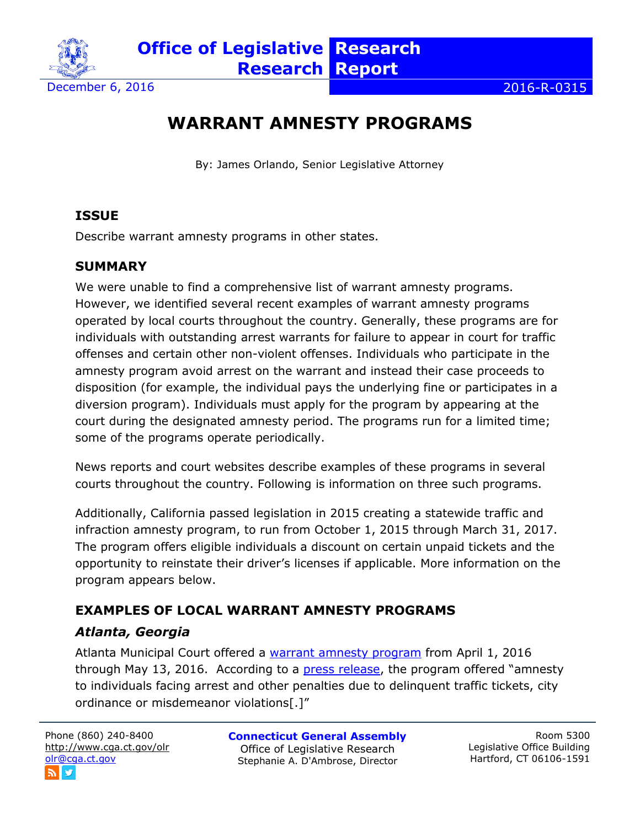

December 6, 2016 2016-R-0315

# **WARRANT AMNESTY PROGRAMS**

By: James Orlando, Senior Legislative Attorney

### **ISSUE**

Describe warrant amnesty programs in other states.

#### **SUMMARY**

We were unable to find a comprehensive list of warrant amnesty programs. However, we identified several recent examples of warrant amnesty programs operated by local courts throughout the country. Generally, these programs are for individuals with outstanding arrest warrants for failure to appear in court for traffic offenses and certain other non-violent offenses. Individuals who participate in the amnesty program avoid arrest on the warrant and instead their case proceeds to disposition (for example, the individual pays the underlying fine or participates in a diversion program). Individuals must apply for the program by appearing at the court during the designated amnesty period. The programs run for a limited time; some of the programs operate periodically.

News reports and court websites describe examples of these programs in several courts throughout the country. Following is information on three such programs.

Additionally, California passed legislation in 2015 creating a statewide traffic and infraction amnesty program, to run from October 1, 2015 through March 31, 2017. The program offers eligible individuals a discount on certain unpaid tickets and the opportunity to reinstate their driver's licenses if applicable. More information on the program appears below.

# **EXAMPLES OF LOCAL WARRANT AMNESTY PROGRAMS** *Atlanta, Georgia*

Atlanta Municipal Court offered a [warrant amnesty program](http://court.atlantaga.gov/warrant-amnesty-info) from April 1, 2016 through May 13, 2016. According to a [press release](http://www.atlantaga.gov/index.aspx/modules/modules/index.aspx?page=672&recordid=4372), the program offered "amnesty to individuals facing arrest and other penalties due to delinquent traffic tickets, city ordinance or misdemeanor violations[.]"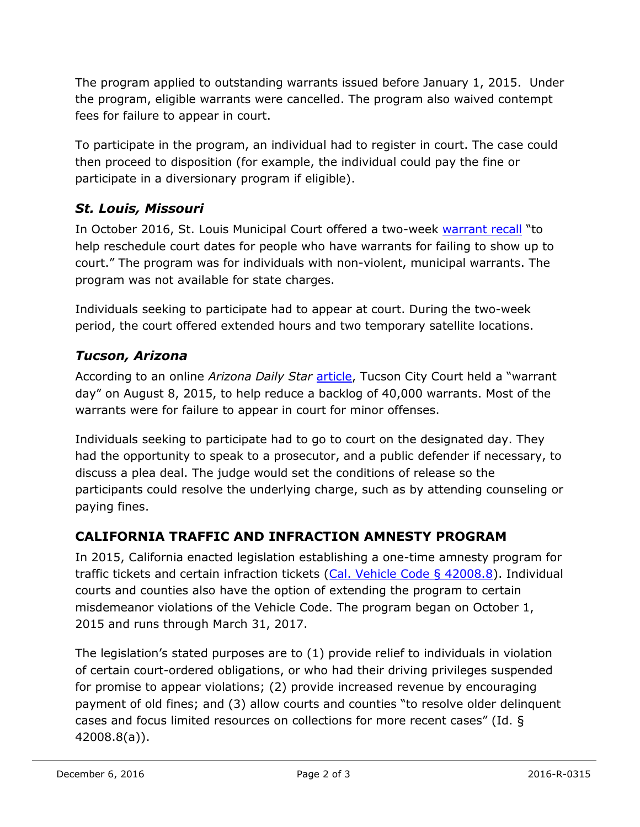The program applied to outstanding warrants issued before January 1, 2015. Under the program, eligible warrants were cancelled. The program also waived contempt fees for failure to appear in court.

To participate in the program, an individual had to register in court. The case could then proceed to disposition (for example, the individual could pay the fine or participate in a diversionary program if eligible).

### *St. Louis, Missouri*

In October 2016, St. Louis Municipal Court offered a two-week [warrant recall](https://www.stlouis-mo.gov/government/departments/mayor/news/city-extends-hours-to-help-clear-warrants.cfm) "to help reschedule court dates for people who have warrants for failing to show up to court." The program was for individuals with non-violent, municipal warrants. The program was not available for state charges.

Individuals seeking to participate had to appear at court. During the two-week period, the court offered extended hours and two temporary satellite locations.

## *Tucson, Arizona*

According to an online Arizona Daily Star [article,](http://tucson.com/news/tucson-city-court-s-warrant-day-to-ease-backlog/article_53c25707-715c-525a-acc8-858674a5ccc5.html) Tucson City Court held a "warrant day" on August 8, 2015, to help reduce a backlog of 40,000 warrants. Most of the warrants were for failure to appear in court for minor offenses.

Individuals seeking to participate had to go to court on the designated day. They had the opportunity to speak to a prosecutor, and a public defender if necessary, to discuss a plea deal. The judge would set the conditions of release so the participants could resolve the underlying charge, such as by attending counseling or paying fines.

### **CALIFORNIA TRAFFIC AND INFRACTION AMNESTY PROGRAM**

In 2015, California enacted legislation establishing a one-time amnesty program for traffic tickets and certain infraction tickets [\(Cal. Vehicle Code § 42008.8\)](https://leginfo.legislature.ca.gov/faces/codes_displaySection.xhtml?lawCode=VEH§ionNum=42008.8.). Individual courts and counties also have the option of extending the program to certain misdemeanor violations of the Vehicle Code. The program began on October 1, 2015 and runs through March 31, 2017.

The legislation's stated purposes are to (1) provide relief to individuals in violation of certain court-ordered obligations, or who had their driving privileges suspended for promise to appear violations; (2) provide increased revenue by encouraging payment of old fines; and (3) allow courts and counties "to resolve older delinquent cases and focus limited resources on collections for more recent cases" (Id. § 42008.8(a)).